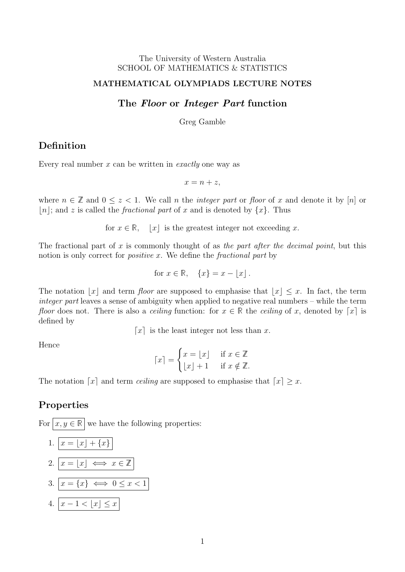#### The University of Western Australia SCHOOL OF MATHEMATICS & STATISTICS

#### MATHEMATICAL OLYMPIADS LECTURE NOTES

### The Floor or Integer Part function

Greg Gamble

# Definition

Every real number  $x$  can be written in *exactly* one way as

 $x = n + z$ ,

where  $n \in \mathbb{Z}$  and  $0 \leq z < 1$ . We call n the *integer part* or floor of x and denote it by [n] or |n|; and z is called the *fractional part* of x and is denoted by  $\{x\}$ . Thus

for  $x \in \mathbb{R}$ ,  $|x|$  is the greatest integer not exceeding x.

The fractional part of x is commonly thought of as the part after the decimal point, but this notion is only correct for *positive x*. We define the *fractional part* by

for 
$$
x \in \mathbb{R}
$$
,  $\{x\} = x - \lfloor x \rfloor$ .

The notation |x| and term floor are supposed to emphasise that  $|x| \leq x$ . In fact, the term integer part leaves a sense of ambiguity when applied to negative real numbers – while the term floor does not. There is also a *ceiling* function: for  $x \in \mathbb{R}$  the *ceiling* of x, denoted by [x] is defined by

[x] is the least integer not less than x.

Hence

$$
\lceil x \rceil = \begin{cases} x = \lfloor x \rfloor & \text{if } x \in \mathbb{Z} \\ \lfloor x \rfloor + 1 & \text{if } x \notin \mathbb{Z}. \end{cases}
$$

The notation [x] and term *ceiling* are supposed to emphasise that  $\lceil x \rceil \geq x$ .

### Properties

For  $\boxed{x, y \in \mathbb{R}}$  we have the following properties:

1. 
$$
x = \lfloor x \rfloor + \{x\}
$$
  
2. 
$$
x = \lfloor x \rfloor \iff x \in \mathbb{Z}
$$
  
3. 
$$
x = \{x\} \iff 0 \le x < 1
$$
  
4. 
$$
x - 1 < \lfloor x \rfloor \le x
$$